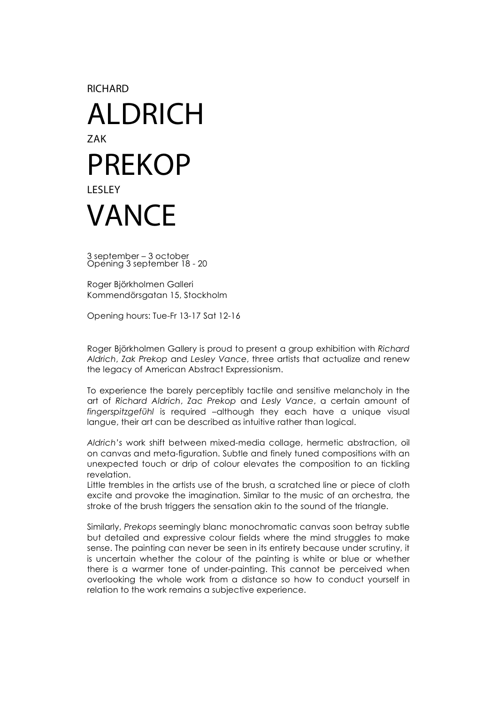**RICHARD** 

## ALDRICH ZAK PREKOP LESLEY VANCE

3 september – 3 october Opening 3 september 18 - 20

Roger Björkholmen Galleri Kommendörsgatan 15, Stockholm

Opening hours: Tue-Fr 13-17 Sat 12-16

Roger Björkholmen Gallery is proud to present a group exhibition with *Richard Aldrich*, *Zak Prekop* and *Lesley Vance*, three artists that actualize and renew the legacy of American Abstract Expressionism.

To experience the barely perceptibly tactile and sensitive melancholy in the art of *Richard Aldrich*, *Zac Prekop* and *Lesly Vance*, a certain amount of *fingerspitzgefühl* is required –although they each have a unique visual langue, their art can be described as intuitive rather than logical.

*Aldrich's* work shift between mixed-media collage, hermetic abstraction, oil on canvas and meta-figuration. Subtle and finely tuned compositions with an unexpected touch or drip of colour elevates the composition to an tickling revelation.

Little trembles in the artists use of the brush, a scratched line or piece of cloth excite and provoke the imagination. Similar to the music of an orchestra, the stroke of the brush triggers the sensation akin to the sound of the triangle.

Similarly, *Prekops* seemingly blanc monochromatic canvas soon betray subtle but detailed and expressive colour fields where the mind struggles to make sense. The painting can never be seen in its entirety because under scrutiny, it is uncertain whether the colour of the painting is white or blue or whether there is a warmer tone of under-painting. This cannot be perceived when overlooking the whole work from a distance so how to conduct yourself in relation to the work remains a subjective experience.